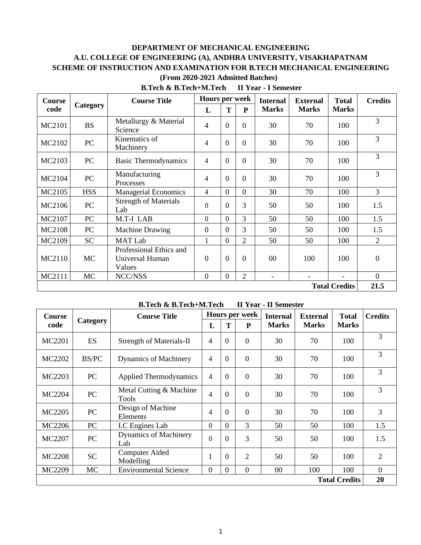# **DEPARTMENT OF MECHANICAL ENGINEERING A.U. COLLEGE OF ENGINEERING (A), ANDHRA UNIVERSITY, VISAKHAPATNAM SCHEME OF INSTRUCTION AND EXAMINATION FOR B.TECH MECHANICAL ENGINEERING (From 2020-2021 Admitted Batches)**

| Course               | Category   | <b>Course Title</b>                                  | <b>Hours per week</b> |                | <b>Internal</b> | <b>External</b>          | <b>Total</b> | <b>Credits</b> |          |
|----------------------|------------|------------------------------------------------------|-----------------------|----------------|-----------------|--------------------------|--------------|----------------|----------|
| code                 |            |                                                      | L                     | T              | P               | <b>Marks</b>             | <b>Marks</b> | <b>Marks</b>   |          |
| MC2101               | <b>BS</b>  | Metallurgy & Material<br>Science                     | $\overline{4}$        | $\overline{0}$ | $\overline{0}$  | 30                       | 70           | 100            | 3        |
| MC2102               | PC         | Kinematics of<br>Machinery                           | $\overline{4}$        | $\overline{0}$ | $\Omega$        | 30                       | 70           | 100            | 3        |
| MC2103               | PC         | <b>Basic Thermodynamics</b>                          | $\overline{4}$        | $\Omega$       | $\Omega$        | 30                       | 70           | 100            | 3        |
| MC2104               | PC         | Manufacturing<br>Processes                           | 4                     | $\overline{0}$ | $\overline{0}$  | 30                       | 70           | 100            | 3        |
| MC2105               | <b>HSS</b> | <b>Managerial Economics</b>                          | $\overline{4}$        | $\overline{0}$ | $\overline{0}$  | 30                       | 70           | 100            | 3        |
| MC2106               | PC         | <b>Strength of Materials</b><br>Lab                  | $\theta$              | $\Omega$       | 3               | 50                       | 50           | 100            | 1.5      |
| MC2107               | PC         | M.T-I LAB                                            | $\theta$              | $\Omega$       | 3               | 50                       | 50           | 100            | 1.5      |
| MC2108               | PC         | <b>Machine Drawing</b>                               | $\Omega$              | $\theta$       | 3               | 50                       | 50           | 100            | 1.5      |
| MC2109               | <b>SC</b>  | <b>MAT Lab</b>                                       | 1                     | $\theta$       | $\overline{2}$  | 50                       | 50           | 100            | 2        |
| MC2110               | <b>MC</b>  | Professional Ethics and<br>Universal Human<br>Values | $\overline{0}$        | $\Omega$       | $\Omega$        | $00\,$                   | 100          | 100            | $\Omega$ |
| MC2111               | MC         | NCC/NSS                                              | $\overline{0}$        | $\overline{0}$ | $\overline{2}$  | $\overline{\phantom{0}}$ |              |                | $\Omega$ |
| <b>Total Credits</b> |            |                                                      |                       |                |                 |                          | 21.5         |                |          |

**B.Tech & B.Tech+M.Tech II Year - I Semester**

#### **B.Tech & B.Tech+M.Tech II Year - II Semester**

| Course               | Category     | <b>Course Title</b>                     | Hours per week |                |                | <b>Internal</b> | <b>External</b> | <b>Total</b> | <b>Credits</b> |
|----------------------|--------------|-----------------------------------------|----------------|----------------|----------------|-----------------|-----------------|--------------|----------------|
| code                 |              |                                         | L              | T              | ${\bf P}$      | <b>Marks</b>    | <b>Marks</b>    | <b>Marks</b> |                |
| MC2201               | ES           | <b>Strength of Materials-II</b>         | 4              | $\theta$       | $\overline{0}$ | 30              | 70              | 100          | 3              |
| MC2202               | <b>BS/PC</b> | Dynamics of Machinery                   | 4              | $\theta$       | $\overline{0}$ | 30              | 70              | 100          | 3              |
| MC2203               | PC           | <b>Applied Thermodynamics</b>           | 4              | $\theta$       | $\overline{0}$ | 30              | 70              | 100          | 3              |
| <b>MC2204</b>        | PC           | Metal Cutting & Machine<br><b>Tools</b> | 4              | $\Omega$       | $\overline{0}$ | 30              | 70              | 100          | 3              |
| MC2205               | PC           | Design of Machine<br>Elements           | 4              | $\Omega$       | $\overline{0}$ | 30              | 70              | 100          | 3              |
| MC2206               | PC           | I.C Engines Lab                         | $\overline{0}$ | $\Omega$       | 3              | 50              | 50              | 100          | 1.5            |
| MC2207               | PC           | <b>Dynamics of Machinery</b><br>Lab     | $\theta$       | $\Omega$       | 3              | 50              | 50              | 100          | 1.5            |
| <b>MC2208</b>        | <b>SC</b>    | <b>Computer Aided</b><br>Modelling      |                | $\Omega$       | $\overline{2}$ | 50              | 50              | 100          | $\overline{2}$ |
| MC2209               | <b>MC</b>    | <b>Environmental Science</b>            | $\overline{0}$ | $\overline{0}$ | $\overline{0}$ | $00\,$          | 100             | 100          | $\theta$       |
| <b>Total Credits</b> |              |                                         |                |                | 20             |                 |                 |              |                |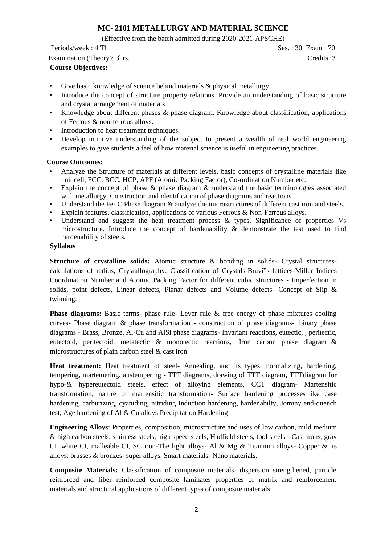# **MC- 2101 METALLURGY AND MATERIAL SCIENCE**

(Effective from the batch admitted during 2020-2021-APSCHE)

# Periods/week : 4 Th Ses. : 30 Exam : 70 Examination (Theory): 3hrs. Credits :3 **Course Objectives:**

- Give basic knowledge of science behind materials & physical metallurgy.
- Introduce the concept of structure property relations. Provide an understanding of basic structure and crystal arrangement of materials
- Knowledge about different phases  $\&$  phase diagram. Knowledge about classification, applications of Ferrous & non-ferrous alloys.
- Introduction to heat treatment techniques.
- Develop intuitive understanding of the subject to present a wealth of real world engineering examples to give students a feel of how material science is useful in engineering practices.

# **Course Outcomes:**

- Analyze the Structure of materials at different levels, basic concepts of crystalline materials like unit cell, FCC, BCC, HCP, APF (Atomic Packing Factor), Co-ordination Number etc.
- Explain the concept of phase  $\&$  phase diagram  $\&$  understand the basic terminologies associated with metallurgy. Construction and identification of phase diagrams and reactions.
- Understand the Fe- C Phase diagram  $\&$  analyze the microstructures of different cast iron and steels.
- Explain features, classification, applications of various Ferrous & Non-Ferrous alloys.
- Understand and suggest the heat treatment process  $\&$  types. Significance of properties Vs microstructure. Introduce the concept of hardenability & demonstrate the test used to find hardenability of steels.

# **Syllabus**

**Structure of crystalline solids:** Atomic structure & bonding in solids- Crystal structurescalculations of radius, Crysrallography: Classification of Crystals-Bravi"s lattices-Miller Indices Coordination Number and Atomic Packing Factor for different cubic structures - Imperfection in solids, point defects, Linear defects, Planar defects and Volume defects- Concept of Slip & twinning.

**Phase diagrams:** Basic terms- phase rule- Lever rule & free energy of phase mixtures cooling curves- Phase diagram & phase transformation - construction of phase diagrams- binary phase diagrams - Brass, Bronze, Al-Cu and AlSi phase diagrams- Invariant reactions, eutectic, , peritectic, eutectoid, peritectoid, metatectic & monotectic reactions, Iron carbon phase diagram & microstructures of plain carbon steel & cast iron

**Heat treatment:** Heat treatment of steel- Annealing, and its types, normalizing, hardening, tempering, martemering, austempering - TTT diagrams, drawing of TTT diagram, TTTdiagram for hypo-& hypereutectoid steels, effect of alloying elements, CCT diagram- Martensitic transformation, nature of martensitic transformation- Surface hardening processes like case hardening, carburizing, cyaniding, nitriding Induction hardening, hardenabilty, Jominy end-quench test, Age hardening of Al & Cu alloys Precipitation Hardening

**Engineering Alloys**: Properties, composition, microstructure and uses of low carbon, mild medium & high carbon steels. stainless steels, high speed steels, Hadfield steels, tool steels - Cast irons, gray CI, white CI, malleable CI, SC iron-The light alloys- Al & Mg & Titanium alloys- Copper & its alloys: brasses & bronzes- super alloys, Smart materials- Nano materials.

**Composite Materials:** Classification of composite materials, dispersion strengthened, particle reinforced and fiber reinforced composite laminates properties of matrix and reinforcement materials and structural applications of different types of composite materials.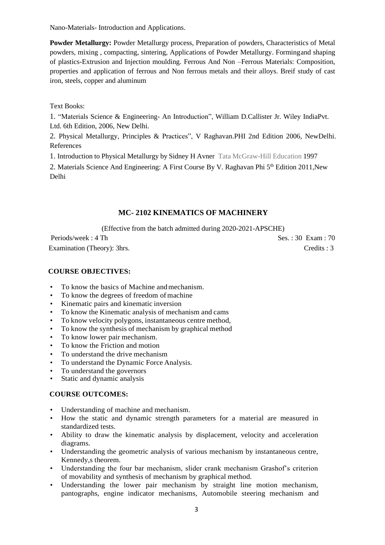Nano-Materials- Introduction and Applications.

**Powder Metallurgy:** Powder Metallurgy process, Preparation of powders, Characteristics of Metal powders, mixing , compacting, sintering, Applications of Powder Metallurgy. Formingand shaping of plastics-Extrusion and Injection moulding. Ferrous And Non –Ferrous Materials: Composition, properties and application of ferrous and Non ferrous metals and their alloys. Breif study of cast iron, steels, copper and aluminum

Text Books:

1. "Materials Science & Engineering- An Introduction", William D.Callister Jr. Wiley IndiaPvt. Ltd. 6th Edition, 2006, New Delhi.

2. Physical Metallurgy, Principles & Practices", V Raghavan.PHI 2nd Edition 2006, NewDelhi. References

1. Introduction to Physical Metallurgy by Sidney H Avner Tata McGraw-Hill Education 1997

2. Materials Science And Engineering: A First Course By V. Raghavan Phi 5<sup>th</sup> Edition 2011, New Delhi

# **MC- 2102 KINEMATICS OF MACHINERY**

(Effective from the batch admitted during 2020-2021-APSCHE)

Periods/week : 4 Th Ses. : 30 Exam : 70 Examination (Theory): 3hrs. Credits : 3

## **COURSE OBJECTIVES:**

- To know the basics of Machine and mechanism.
- To know the degrees of freedom of machine
- Kinematic pairs and kinematic inversion
- To know the Kinematic analysis of mechanism and cams
- To know velocity polygons, instantaneous centre method,
- To know the synthesis of mechanism by graphical method
- To know lower pair mechanism.
- To know the Friction and motion
- To understand the drive mechanism
- To understand the Dynamic Force Analysis.
- To understand the governors
- Static and dynamic analysis

### **COURSE OUTCOMES:**

- Understanding of machine and mechanism.
- How the static and dynamic strength parameters for a material are measured in standardized tests.
- Ability to draw the kinematic analysis by displacement, velocity and acceleration diagrams.
- Understanding the geometric analysis of various mechanism by instantaneous centre, Kennedy,s theorem.
- Understanding the four bar mechanism, slider crank mechanism Grashof's criterion of movability and synthesis of mechanism by graphical method.
- Understanding the lower pair mechanism by straight line motion mechanism, pantographs, engine indicator mechanisms, Automobile steering mechanism and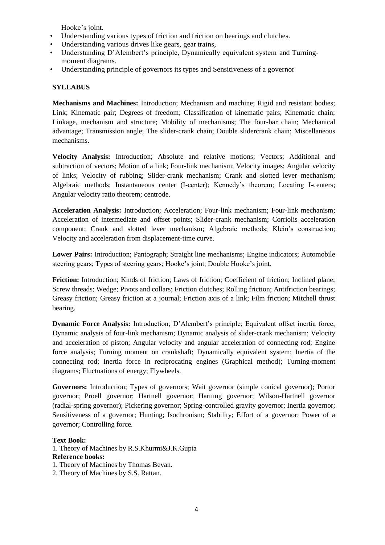Hooke's joint.

- Understanding various types of friction and friction on bearings and clutches.
- Understanding various drives like gears, gear trains,
- Understanding D'Alembert's principle, Dynamically equivalent system and Turningmoment diagrams.
- Understanding principle of governors its types and Sensitiveness of a governor

# **SYLLABUS**

**Mechanisms and Machines:** Introduction; Mechanism and machine; Rigid and resistant bodies; Link; Kinematic pair; Degrees of freedom; Classification of kinematic pairs; Kinematic chain; Linkage, mechanism and structure; Mobility of mechanisms; The four-bar chain; Mechanical advantage; Transmission angle; The slider-crank chain; Double slidercrank chain; Miscellaneous mechanisms.

**Velocity Analysis:** Introduction; Absolute and relative motions; Vectors; Additional and subtraction of vectors; Motion of a link; Four-link mechanism; Velocity images; Angular velocity of links; Velocity of rubbing; Slider-crank mechanism; Crank and slotted lever mechanism; Algebraic methods; Instantaneous center (I-center); Kennedy's theorem; Locating I-centers; Angular velocity ratio theorem; centrode.

**Acceleration Analysis:** Introduction; Acceleration; Four-link mechanism; Four-link mechanism; Acceleration of intermediate and offset points; Slider-crank mechanism; Corriolis acceleration component; Crank and slotted lever mechanism; Algebraic methods; Klein's construction; Velocity and acceleration from displacement-time curve.

**Lower Pairs:** Introduction; Pantograph; Straight line mechanisms; Engine indicators; Automobile steering gears; Types of steering gears; Hooke's joint; Double Hooke's joint.

**Friction:** Introduction; Kinds of friction; Laws of friction; Coefficient of friction; Inclined plane; Screw threads; Wedge; Pivots and collars; Friction clutches; Rolling friction; Antifriction bearings; Greasy friction; Greasy friction at a journal; Friction axis of a link; Film friction; Mitchell thrust bearing.

**Dynamic Force Analysis:** Introduction; D'Alembert's principle; Equivalent offset inertia force; Dynamic analysis of four-link mechanism; Dynamic analysis of slider-crank mechanism; Velocity and acceleration of piston; Angular velocity and angular acceleration of connecting rod; Engine force analysis; Turning moment on crankshaft; Dynamically equivalent system; Inertia of the connecting rod; Inertia force in reciprocating engines (Graphical method); Turning-moment diagrams; Fluctuations of energy; Flywheels.

**Governors:** Introduction; Types of governors; Wait governor (simple conical governor); Portor governor; Proell governor; Hartnell governor; Hartung governor; Wilson-Hartnell governor (radial-spring governor); Pickering governor; Spring-controlled gravity governor; Inertia governor; Sensitiveness of a governor; Hunting; Isochronism; Stability; Effort of a governor; Power of a governor; Controlling force.

### **Text Book:**

1. Theory of Machines by R.S.Khurmi&J.K.Gupta **Reference books:**

- 1. Theory of Machines by Thomas Bevan.
- 2. Theory of Machines by S.S. Rattan.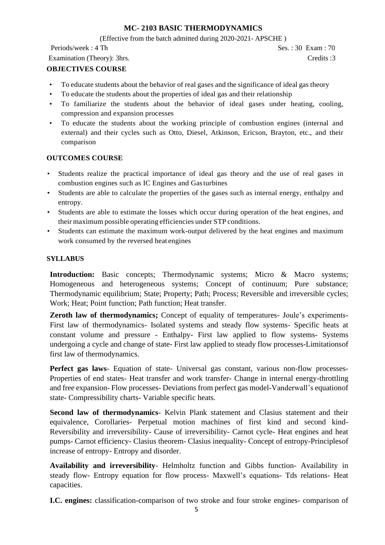# **MC- 2103 BASIC THERMODYNAMICS**

(Effective from the batch admitted during 2020-2021- APSCHE )

Periods/week : 4 Th Ses. : 30 Exam : 70

### Examination (Theory): 3hrs. Credits :3

# **OBJECTIVES COURSE**

- To educate students about the behavior of real gases and the significance of ideal gas theory
- To educate the students about the properties of ideal gas and their relationship
- To familiarize the students about the behavior of ideal gases under heating, cooling, compression and expansion processes
- To educate the students about the working principle of combustion engines (internal and external) and their cycles such as Otto, Diesel, Atkinson, Ericson, Brayton, etc., and their comparison

### **OUTCOMES COURSE**

- Students realize the practical importance of ideal gas theory and the use of real gases in combustion engines such as IC Engines and Gasturbines
- Students are able to calculate the properties of the gases such as internal energy, enthalpy and entropy.
- Students are able to estimate the losses which occur during operation of the heat engines, and their maximum possible operating efficiencies under STP conditions.
- Students can estimate the maximum work-output delivered by the heat engines and maximum work consumed by the reversed heat engines

### **SYLLABUS**

**Introduction:** Basic concepts; Thermodynamic systems; Micro & Macro systems; Homogeneous and heterogeneous systems; Concept of continuum; Pure substance; Thermodynamic equilibrium; State; Property; Path; Process; Reversible and irreversible cycles; Work; Heat; Point function; Path function; Heat transfer.

**Zeroth law of thermodynamics;** Concept of equality of temperatures- Joule's experiments-First law of thermodynamics- Isolated systems and steady flow systems- Specific heats at constant volume and pressure - Enthalpy- First law applied to flow systems- Systems undergoing a cycle and change of state- First law applied to steady flow processes-Limitationsof first law of thermodynamics.

**Perfect gas laws**- Equation of state- Universal gas constant, various non-flow processes-Properties of end states- Heat transfer and work transfer- Change in internal energy-throttling and free expansion- Flow processes- Deviations from perfect gas model-Vanderwall's equationof state- Compressibility charts- Variable specific heats.

**Second law of thermodynamics**- Kelvin Plank statement and Clasius statement and their equivalence, Corollaries- Perpetual motion machines of first kind and second kind-Reversibility and irreversibility- Cause of irreversibility- Carnot cycle- Heat engines and heat pumps- Carnot efficiency- Clasius theorem- Clasius inequality- Concept of entropy-Principlesof increase of entropy- Entropy and disorder.

**Availability and irreversibility**- Helmholtz function and Gibbs function- Availability in steady flow- Entropy equation for flow process- Maxwell's equations- Tds relations- Heat capacities.

**I.C. engines:** classification-comparison of two stroke and four stroke engines- comparison of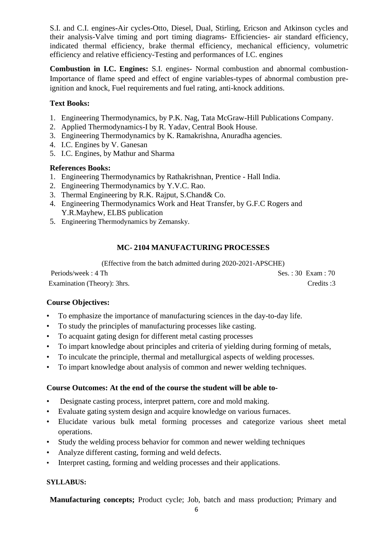S.I. and C.I. engines**-**Air cycles-Otto, Diesel, Dual, Stirling, Ericson and Atkinson cycles and their analysis-Valve timing and port timing diagrams- Efficiencies- air standard efficiency, indicated thermal efficiency, brake thermal efficiency, mechanical efficiency, volumetric efficiency and relative efficiency-Testing and performances of I.C. engines

**Combustion in I.C. Engines:** S.I. engines- Normal combustion and abnormal combustion-Importance of flame speed and effect of engine variables-types of abnormal combustion preignition and knock, Fuel requirements and fuel rating, anti-knock additions.

# **Text Books:**

- 1. Engineering Thermodynamics, by P.K. Nag, Tata McGraw-Hill Publications Company.
- 2. Applied Thermodynamics-I by R. Yadav, Central Book House.
- 3. Engineering Thermodynamics by K. Ramakrishna, Anuradha agencies.
- 4. I.C. Engines by V. Ganesan
- 5. I.C. Engines, by Mathur and Sharma

# **References Books:**

- 1. Engineering Thermodynamics by Rathakrishnan, Prentice Hall India.
- 2. Engineering Thermodynamics by Y.V.C. Rao.
- 3. Thermal Engineering by R.K. Rajput, S.Chand& Co.
- 4. Engineering Thermodynamics Work and Heat Transfer, by G.F.C Rogers and Y.R.Mayhew, ELBS publication
- 5. Engineering Thermodynamics by Zemansky.

# **MC- 2104 MANUFACTURING PROCESSES**

(Effective from the batch admitted during 2020-2021-APSCHE)

Periods/week : 4 Th Ses. : 30 Exam : 70 Examination (Theory): 3hrs. Credits :3

# **Course Objectives:**

- To emphasize the importance of manufacturing sciences in the day-to-day life.
- To study the principles of manufacturing processes like casting.
- To acquaint gating design for different metal casting processes
- To impart knowledge about principles and criteria of yielding during forming of metals,
- To inculcate the principle, thermal and metallurgical aspects of welding processes.
- To impart knowledge about analysis of common and newer welding techniques.

# **Course Outcomes: At the end of the course the student will be able to-**

- Designate casting process, interpret pattern, core and mold making.
- Evaluate gating system design and acquire knowledge on various furnaces.
- Elucidate various bulk metal forming processes and categorize various sheet metal operations.
- Study the welding process behavior for common and newer welding techniques
- Analyze different casting, forming and weld defects.
- Interpret casting, forming and welding processes and their applications.

# **SYLLABUS:**

**Manufacturing concepts;** Product cycle; Job, batch and mass production; Primary and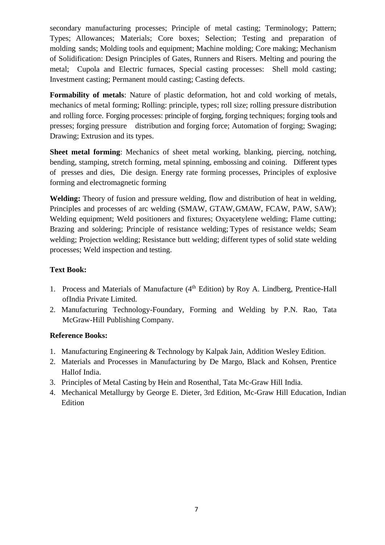secondary manufacturing processes; Principle of metal casting; Terminology; Pattern; Types; Allowances; Materials; Core boxes; Selection; Testing and preparation of molding sands; Molding tools and equipment; Machine molding; Core making; Mechanism of Solidification: Design Principles of Gates, Runners and Risers. Melting and pouring the metal; Cupola and Electric furnaces, Special casting processes: Shell mold casting; Investment casting; Permanent mould casting; Casting defects.

**Formability of metals**: Nature of plastic deformation, hot and cold working of metals, mechanics of metal forming; Rolling: principle, types; roll size; rolling pressure distribution and rolling force. Forging processes: principle of forging, forging techniques; forging tools and presses; forging pressure distribution and forging force; Automation of forging; Swaging; Drawing; Extrusion and its types.

**Sheet metal forming**: Mechanics of sheet metal working, blanking, piercing, notching, bending, stamping, stretch forming, metal spinning, embossing and coining. Different types of presses and dies, Die design. Energy rate forming processes, Principles of explosive forming and electromagnetic forming

**Welding:** Theory of fusion and pressure welding, flow and distribution of heat in welding, Principles and processes of arc welding (SMAW, GTAW,GMAW, FCAW, PAW, SAW); Welding equipment; Weld positioners and fixtures; Oxyacetylene welding; Flame cutting; Brazing and soldering; Principle of resistance welding; Types of resistance welds; Seam welding; Projection welding; Resistance butt welding; different types of solid state welding processes; Weld inspection and testing.

# **Text Book:**

- 1. Process and Materials of Manufacture  $(4<sup>th</sup> Edition)$  by Roy A. Lindberg, Prentice-Hall ofIndia Private Limited.
- 2. Manufacturing Technology-Foundary, Forming and Welding by P.N. Rao, Tata McGraw-Hill Publishing Company.

# **Reference Books:**

- 1. Manufacturing Engineering & Technology by Kalpak Jain, Addition Wesley Edition.
- 2. Materials and Processes in Manufacturing by De Margo, Black and Kohsen, Prentice Hallof India.
- 3. Principles of Metal Casting by Hein and Rosenthal, Tata Mc-Graw Hill India.
- 4. Mechanical Metallurgy by George E. Dieter, 3rd Edition, Mc-Graw Hill Education, Indian Edition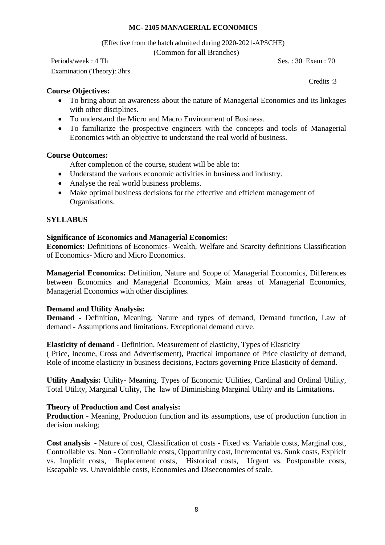### **MC- 2105 MANAGERIAL ECONOMICS**

(Effective from the batch admitted during 2020-2021-APSCHE)

(Common for all Branches)

Periods/week : 4 Th Ses. : 30 Exam : 70

Examination (Theory): 3hrs.

Credits :3

## **Course Objectives:**

- To bring about an awareness about the nature of Managerial Economics and its linkages with other disciplines.
- To understand the Micro and Macro Environment of Business.
- To familiarize the prospective engineers with the concepts and tools of Managerial Economics with an objective to understand the real world of business.

# **Course Outcomes:**

After completion of the course, student will be able to:

- Understand the various economic activities in business and industry.
- Analyse the real world business problems.
- Make optimal business decisions for the effective and efficient management of Organisations.

# **SYLLABUS**

### **Significance of Economics and Managerial Economics:**

**Economics:** Definitions of Economics- Wealth, Welfare and Scarcity definitions Classification of Economics- Micro and Micro Economics.

**Managerial Economics:** Definition, Nature and Scope of Managerial Economics, Differences between Economics and Managerial Economics, Main areas of Managerial Economics, Managerial Economics with other disciplines.

# **Demand and Utility Analysis:**

**Demand -** Definition, Meaning, Nature and types of demand, Demand function, Law of demand - Assumptions and limitations. Exceptional demand curve.

### **Elasticity of demand** - Definition, Measurement of elasticity, Types of Elasticity

( Price, Income, Cross and Advertisement), Practical importance of Price elasticity of demand, Role of income elasticity in business decisions, Factors governing Price Elasticity of demand.

**Utility Analysis:** Utility- Meaning, Types of Economic Utilities, Cardinal and Ordinal Utility, Total Utility, Marginal Utility, The law of Diminishing Marginal Utility and its Limitations**.** 

# **Theory of Production and Cost analysis:**

**Production -** Meaning, Production function and its assumptions, use of production function in decision making;

**Cost analysis -** Nature of cost, Classification of costs - Fixed vs. Variable costs, Marginal cost, Controllable vs. Non - Controllable costs, Opportunity cost, Incremental vs. Sunk costs, Explicit vs. Implicit costs, Replacement costs, Historical costs, Urgent vs. Postponable costs, Escapable vs. Unavoidable costs, Economies and Diseconomies of scale.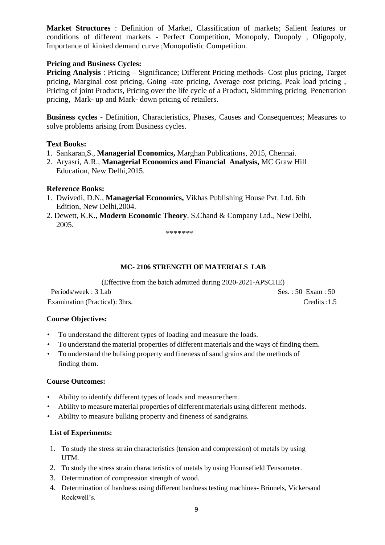**Market Structures** : Definition of Market, Classification of markets; Salient features or conditions of different markets - Perfect Competition, Monopoly, Duopoly , Oligopoly, Importance of kinked demand curve ;Monopolistic Competition.

# **Pricing and Business Cycles:**

**Pricing Analysis** : Pricing – Significance; Different Pricing methods- Cost plus pricing, Target pricing, Marginal cost pricing, Going -rate pricing, Average cost pricing, Peak load pricing , Pricing of joint Products, Pricing over the life cycle of a Product, Skimming pricing Penetration pricing, Mark- up and Mark- down pricing of retailers.

**Business cycles** - Definition, Characteristics, Phases, Causes and Consequences; Measures to solve problems arising from Business cycles.

### **Text Books:**

- 1. Sankaran,S., **Managerial Economics,** Marghan Publications, 2015, Chennai.
- 2. Aryasri, A.R., **Managerial Economics and Financial Analysis,** MC Graw Hill Education, New Delhi,2015.

# **Reference Books:**

- 1. Dwivedi, D.N., **Managerial Economics,** Vikhas Publishing House Pvt. Ltd. 6th Edition, New Delhi,2004.
- 2. Dewett, K.K., **Modern Economic Theory**, S.Chand & Company Ltd., New Delhi, 2005.

\*\*\*\*\*\*\*

### **MC- 2106 STRENGTH OF MATERIALS LAB**

(Effective from the batch admitted during 2020-2021-APSCHE)

Periods/week : 3 Lab Ses. : 50 Exam : 50 Examination (Practical): 3hrs. Credits :1.5

### **Course Objectives:**

- To understand the different types of loading and measure the loads.
- To understand the material properties of different materials and the ways of finding them.
- To understand the bulking property and fineness of sand grains and the methods of finding them.

#### **Course Outcomes:**

- Ability to identify different types of loads and measure them.
- Ability to measure material properties of different materials using different methods.
- Ability to measure bulking property and fineness of sand grains.

### **List of Experiments:**

- 1. To study the stress strain characteristics (tension and compression) of metals by using UTM.
- 2. To study the stress strain characteristics of metals by using Hounsefield Tensometer.
- 3. Determination of compression strength of wood.
- 4. Determination of hardness using different hardness testing machines- Brinnels, Vickersand Rockwell's.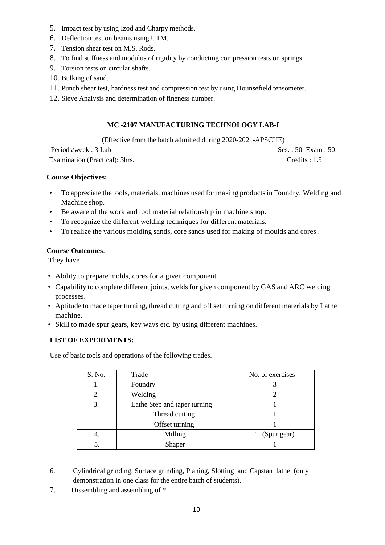- 5. Impact test by using Izod and Charpy methods.
- 6. Deflection test on beams using UTM.
- 7. Tension shear test on M.S. Rods.
- 8. To find stiffness and modulus of rigidity by conducting compression tests on springs.
- 9. Torsion tests on circular shafts.
- 10. Bulking of sand.
- 11. Punch shear test, hardness test and compression test by using Hounsefield tensometer.
- 12. Sieve Analysis and determination of fineness number.

# **MC -2107 MANUFACTURING TECHNOLOGY LAB-I**

(Effective from the batch admitted during 2020-2021-APSCHE) Periods/week : 3 Lab Ses. : 50 Exam : 50

Examination (Practical): 3hrs. Credits : 1.5

### **Course Objectives:**

- To appreciate the tools, materials, machines used for making productsin Foundry, Welding and Machine shop.
- Be aware of the work and tool material relationship in machine shop.
- To recognize the different welding techniques for different materials.
- To realize the various molding sands, core sands used for making of moulds and cores .

### **Course Outcomes**:

They have

- Ability to prepare molds, cores for a given component.
- Capability to complete different joints, welds for given component by GAS and ARC welding processes.
- Aptitude to made taper turning, thread cutting and off set turning on different materials by Lathe machine.
- Skill to made spur gears, key ways etc. by using different machines.

### **LIST OF EXPERIMENTS:**

Use of basic tools and operations of the following trades.

| S. No. | Trade                        | No. of exercises |
|--------|------------------------------|------------------|
|        | Foundry                      |                  |
| 2.     | Welding                      |                  |
| 3.     | Lathe Step and taper turning |                  |
|        | Thread cutting               |                  |
|        | Offset turning               |                  |
|        | Milling                      | (Spur gear)      |
|        | Shaper                       |                  |

- 6. Cylindrical grinding, Surface grinding, Planing, Slotting and Capstan lathe (only demonstration in one class for the entire batch of students).
- 7. Dissembling and assembling of \*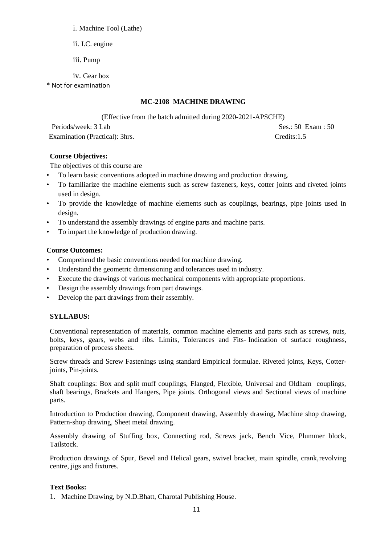### i. Machine Tool (Lathe)

- ii. I.C. engine
- iii. Pump
- iv. Gear box

\* Not for examination

## **MC-2108 MACHINE DRAWING**

(Effective from the batch admitted during 2020-2021-APSCHE)

Periods/week: 3 Lab Ses.: 50 Exam : 50 Examination (Practical): 3hrs. Credits:1.5

### **Course Objectives:**

The objectives of this course are

- To learn basic conventions adopted in machine drawing and production drawing.
- To familiarize the machine elements such as screw fasteners, keys, cotter joints and riveted joints used in design.
- To provide the knowledge of machine elements such as couplings, bearings, pipe joints used in design.
- To understand the assembly drawings of engine parts and machine parts.
- To impart the knowledge of production drawing.

### **Course Outcomes:**

- Comprehend the basic conventions needed for machine drawing.
- Understand the geometric dimensioning and tolerances used in industry.
- Execute the drawings of various mechanical components with appropriate proportions.
- Design the assembly drawings from part drawings.
- Develop the part drawings from their assembly.

# **SYLLABUS:**

Conventional representation of materials, common machine elements and parts such as screws, nuts, bolts, keys, gears, webs and ribs. Limits, Tolerances and Fits- Indication of surface roughness, preparation of process sheets.

Screw threads and Screw Fastenings using standard Empirical formulae. Riveted joints, Keys, Cotterjoints, Pin-joints.

Shaft couplings: Box and split muff couplings, Flanged, Flexible, Universal and Oldham couplings, shaft bearings, Brackets and Hangers, Pipe joints. Orthogonal views and Sectional views of machine parts.

Introduction to Production drawing, Component drawing, Assembly drawing, Machine shop drawing, Pattern-shop drawing, Sheet metal drawing.

Assembly drawing of Stuffing box, Connecting rod, Screws jack, Bench Vice, Plummer block, Tailstock.

Production drawings of Spur, Bevel and Helical gears, swivel bracket, main spindle, crank,revolving centre, jigs and fixtures.

### **Text Books:**

1. Machine Drawing, by N.D.Bhatt, Charotal Publishing House.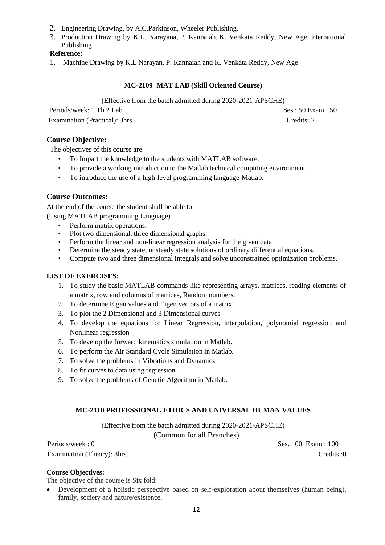- 2. Engineering Drawing, by A.C.Parkinson, Wheeler Publishing.
- 3. Production Drawing by [K.L. Narayana,](https://www.google.co.in/search?tbo=p&tbm=bks&q=inauthor:%22K.L.+Narayana%22) [P. Kannaiah,](https://www.google.co.in/search?tbo=p&tbm=bks&q=inauthor:%22P.+Kannaiah%22) [K. Venkata Reddy,](https://www.google.co.in/search?tbo=p&tbm=bks&q=inauthor:%22K.+Venkata+Reddy%22) New Age International Publishing

### **Reference:**

1. Machine Drawing by K.L Narayan, P. Kannaiah and K. Venkata Reddy, New Age

### **MC-2109 MAT LAB (Skill Oriented Course)**

(Effective from the batch admitted during 2020-2021-APSCHE)

Periods/week: 1 Th 2 Lab Ses.: 50 Exam : 50 Examination (Practical): 3hrs. Credits: 2

# **Course Objective:**

The objectives of this course are

- To Impart the knowledge to the students with MATLAB software.
- To provide a working introduction to the Matlab technical computing environment.
- To introduce the use of a high-level programming language-Matlab.

### **Course Outcomes:**

At the end of the course the student shall be able to (Using MATLAB programming Language)

- Perform matrix operations.
- Plot two dimensional, three dimensional graphs.
- Perform the linear and non-linear regression analysis for the given data.
- Determine the steady state, unsteady state solutions of ordinary differential equations.
- Compute two and three dimensional integrals and solve unconstrained optimization problems.

### **LIST OF EXERCISES:**

- 1. To study the basic MATLAB commands like representing arrays, matrices, reading elements of a matrix, row and columns of matrices, Random numbers.
- 2. To determine Eigen values and Eigen vectors of a matrix.
- 3. To plot the 2 Dimensional and 3 Dimensional curves
- 4. To develop the equations for Linear Regression, interpolation, polynomial regression and Nonlinear regression
- 5. To develop the forward kinematics simulation in Matlab.
- 6. To perform the Air Standard Cycle Simulation in Matlab.
- 7. To solve the problems in Vibrations and Dynamics
- 8. To fit curves to data using regression.
- 9. To solve the problems of Genetic Algorithm in Matlab.

### **MC-2110 PROFESSIONAL ETHICS AND UNIVERSAL HUMAN VALUES**

(Effective from the batch admitted during 2020-2021-APSCHE)

**(**Common for all Branches)

Periods/week : 0 Ses. : 00 Exam : 100 Examination (Theory): 3hrs. Credits :0

#### **Course Objectives:**

The objective of the course is Six fold:

• Development of a holistic perspective based on self-exploration about themselves (human being), family, society and nature/existence.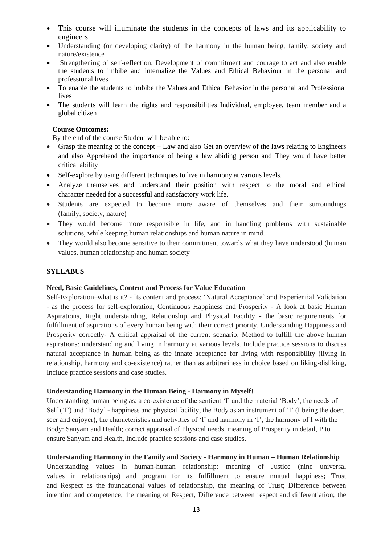- This course will illuminate the students in the concepts of laws and its applicability to engineers
- Understanding (or developing clarity) of the harmony in the human being, family, society and nature/existence
- Strengthening of self-reflection, Development of commitment and courage to act and also enable the students to imbibe and internalize the Values and Ethical Behaviour in the personal and professional lives
- To enable the students to imbibe the Values and Ethical Behavior in the personal and Professional lives
- The students will learn the rights and responsibilities Individual, employee, team member and a global citizen

#### **Course Outcomes:**

By the end of the course Student will be able to:

- Grasp the meaning of the concept Law and also Get an overview of the laws relating to Engineers and also Apprehend the importance of being a law abiding person and They would have better critical ability
- Self-explore by using different techniques to live in harmony at various levels.
- Analyze themselves and understand their position with respect to the moral and ethical character needed for a successful and satisfactory work life.
- Students are expected to become more aware of themselves and their surroundings (family, society, nature)
- They would become more responsible in life, and in handling problems with sustainable solutions, while keeping human relationships and human nature in mind.
- They would also become sensitive to their commitment towards what they have understood (human values, human relationship and human society

#### **SYLLABUS**

#### **Need, Basic Guidelines, Content and Process for Value Education**

Self-Exploration–what is it? - Its content and process; 'Natural Acceptance' and Experiential Validation - as the process for self-exploration, Continuous Happiness and Prosperity - A look at basic Human Aspirations, Right understanding, Relationship and Physical Facility - the basic requirements for fulfillment of aspirations of every human being with their correct priority, Understanding Happiness and Prosperity correctly- A critical appraisal of the current scenario, Method to fulfill the above human aspirations: understanding and living in harmony at various levels. Include practice sessions to discuss natural acceptance in human being as the innate acceptance for living with responsibility (living in relationship, harmony and co-existence) rather than as arbitrariness in choice based on liking-disliking, Include practice sessions and case studies.

#### **Understanding Harmony in the Human Being - Harmony in Myself!**

Understanding human being as: a co-existence of the sentient 'I' and the material 'Body', the needs of Self ('I') and 'Body' - happiness and physical facility, the Body as an instrument of 'I' (I being the doer, seer and enjoyer), the characteristics and activities of 'I' and harmony in 'I', the harmony of I with the Body: Sanyam and Health; correct appraisal of Physical needs, meaning of Prosperity in detail, P to ensure Sanyam and Health, Include practice sessions and case studies.

#### **Understanding Harmony in the Family and Society - Harmony in Human – Human Relationship**

Understanding values in human-human relationship: meaning of Justice (nine universal values in relationships) and program for its fulfillment to ensure mutual happiness; Trust and Respect as the foundational values of relationship, the meaning of Trust; Difference between intention and competence, the meaning of Respect, Difference between respect and differentiation; the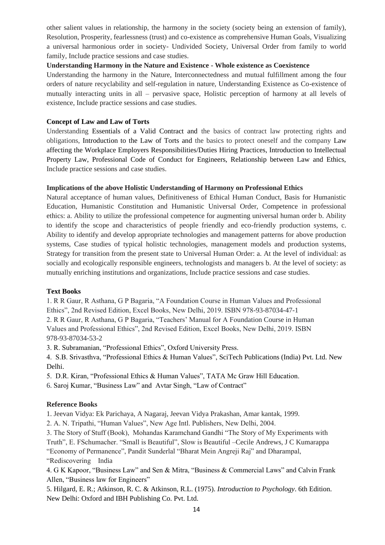other salient values in relationship, the harmony in the society (society being an extension of family), Resolution, Prosperity, fearlessness (trust) and co-existence as comprehensive Human Goals, Visualizing a universal harmonious order in society- Undivided Society, Universal Order from family to world family, Include practice sessions and case studies.

#### **Understanding Harmony in the Nature and Existence - Whole existence as Coexistence**

Understanding the harmony in the Nature, Interconnectedness and mutual fulfillment among the four orders of nature recyclability and self-regulation in nature, Understanding Existence as Co-existence of mutually interacting units in all – pervasive space, Holistic perception of harmony at all levels of existence, Include practice sessions and case studies.

#### **Concept of Law and Law of Torts**

Understanding Essentials of a Valid Contract and the basics of contract law protecting rights and obligations, Introduction to the Law of Torts and the basics to protect oneself and the company Law affecting the Workplace Employers Responsibilities/Duties Hiring Practices, Introduction to Intellectual Property Law, Professional Code of Conduct for Engineers, Relationship between Law and Ethics, Include practice sessions and case studies.

### **Implications of the above Holistic Understanding of Harmony on Professional Ethics**

Natural acceptance of human values, Definitiveness of Ethical Human Conduct, Basis for Humanistic Education, Humanistic Constitution and Humanistic Universal Order, Competence in professional ethics: a. Ability to utilize the professional competence for augmenting universal human order b. Ability to identify the scope and characteristics of people friendly and eco-friendly production systems, c. Ability to identify and develop appropriate technologies and management patterns for above production systems, Case studies of typical holistic technologies, management models and production systems, Strategy for transition from the present state to Universal Human Order: a. At the level of individual: as socially and ecologically responsible engineers, technologists and managers b. At the level of society: as mutually enriching institutions and organizations, Include practice sessions and case studies.

#### **Text Books**

1. R R Gaur, R Asthana, G P Bagaria, "A Foundation Course in Human Values and Professional Ethics", 2nd Revised Edition, Excel Books, New Delhi, 2019. ISBN 978-93-87034-47-1

2. R R Gaur, R Asthana, G P Bagaria, "Teachers' Manual for A Foundation Course in Human Values and Professional Ethics", 2nd Revised Edition, Excel Books, New Delhi, 2019. ISBN 978-93-87034-53-2

3. R. Subramanian, "Professional Ethics", Oxford University Press.

4. S.B. Srivasthva, "Professional Ethics & Human Values", SciTech Publications (India) Pvt. Ltd. New Delhi.

5. D.R. Kiran, "Professional Ethics & Human Values", TATA Mc Graw Hill Education.

6. Saroj Kumar, "Business Law" and Avtar Singh, "Law of Contract"

#### **Reference Books**

1. Jeevan Vidya: Ek Parichaya, A Nagaraj, Jeevan Vidya Prakashan, Amar kantak, 1999.

2. A. N. Tripathi, "Human Values", New Age Intl. Publishers, New Delhi, 2004.

3. The Story of Stuff (Book), Mohandas Karamchand Gandhi "The Story of My Experiments with Truth", E. FSchumacher. "Small is Beautiful", Slow is Beautiful –Cecile Andrews, J C Kumarappa "Economy of Permanence", Pandit Sunderlal "Bharat Mein Angreji Raj" and Dharampal, "Rediscovering India

4. G K Kapoor, "Business Law" and Sen & Mitra, "Business & Commercial Laws" and Calvin Frank Allen, "Business law for Engineers"

5. Hilgard, E. R.; Atkinson, R. C. & Atkinson, R.L. (1975). *Introduction to Psychology*. 6th Edition. New Delhi: Oxford and IBH Publishing Co. Pvt. Ltd.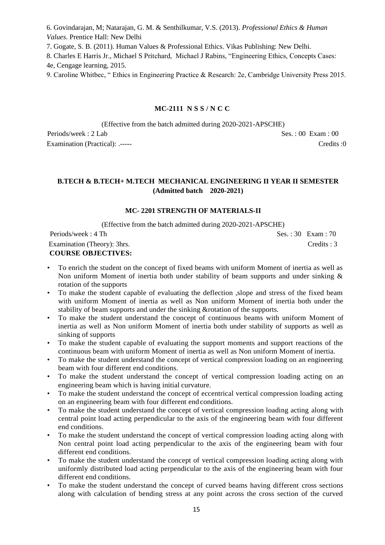6. Govindarajan, M; Natarajan, G. M. & Senthilkumar, V.S. (2013). *Professional Ethics & Human Values*. Prentice Hall: New Delhi

7. Gogate, S. B. (2011). Human Values & Professional Ethics. Vikas Publishing: New Delhi.

8. Charles E Harris Jr., Michael S Pritchard, Michael J Rabins, "Engineering Ethics, Concepts Cases: 4e, Cengage learning, 2015.

9. Caroline Whitbec, " Ethics in Engineering Practice & Research: 2e, Cambridge University Press 2015.

# **MC-2111 N S S / N C C**

(Effective from the batch admitted during 2020-2021-APSCHE) Periods/week : 2 Lab Ses. : 00 Exam : 00 Examination (Practical): .----- Credits :0

### **B.TECH & B.TECH+ M.TECH MECHANICAL ENGINEERING II YEAR II SEMESTER (Admitted batch 2020-2021)**

#### **MC- 2201 STRENGTH OF MATERIALS-II**

(Effective from the batch admitted during 2020-2021-APSCHE)

| Periods/week: 4 Th          | Ses.: $30$ Exam: $70$ |
|-----------------------------|-----------------------|
| Examination (Theory): 3hrs. | Credits: 3            |
| <b>COURSE OBJECTIVES:</b>   |                       |

- To enrich the student on the concept of fixed beams with uniform Moment of inertia as well as Non uniform Moment of inertia both under stability of beam supports and under sinking  $\&$ rotation of the supports
- To make the student capable of evaluating the deflection ,slope and stress of the fixed beam with uniform Moment of inertia as well as Non uniform Moment of inertia both under the stability of beam supports and under the sinking &rotation of the supports.
- To make the student understand the concept of continuous beams with uniform Moment of inertia as well as Non uniform Moment of inertia both under stability of supports as well as sinking of supports
- To make the student capable of evaluating the support moments and support reactions of the continuous beam with uniform Moment of inertia as well as Non uniform Moment of inertia.
- To make the student understand the concept of vertical compression loading on an engineering beam with four different end conditions.
- To make the student understand the concept of vertical compression loading acting on an engineering beam which is having initial curvature.
- To make the student understand the concept of eccentrical vertical compression loading acting on an engineering beam with four different end conditions.
- To make the student understand the concept of vertical compression loading acting along with central point load acting perpendicular to the axis of the engineering beam with four different end conditions.
- To make the student understand the concept of vertical compression loading acting along with Non central point load acting perpendicular to the axis of the engineering beam with four different end conditions.
- To make the student understand the concept of vertical compression loading acting along with uniformly distributed load acting perpendicular to the axis of the engineering beam with four different end conditions.
- To make the student understand the concept of curved beams having different cross sections along with calculation of bending stress at any point across the cross section of the curved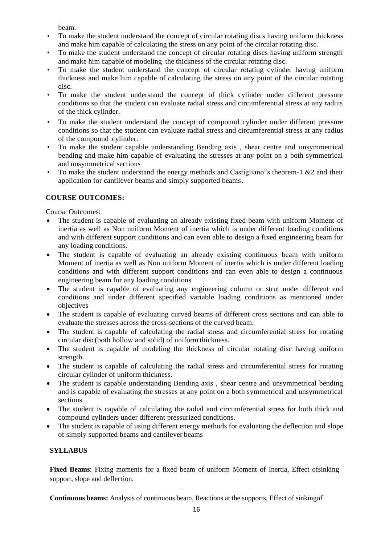beam.

- To make the student understand the concept of circular rotating discs having uniform thickness and make him capable of calculating the stress on any point of the circular rotating disc.
- To make the student understand the concept of circular rotating discs having uniform strength and make him capable of modeling the thickness of the circular rotating disc.
- To make the student understand the concept of circular rotating cylinder having uniform thickness and make him capable of calculating the stress on any point of the circular rotating disc.
- To make the student understand the concept of thick cylinder under different pressure conditions so that the student can evaluate radial stress and circumferential stress at any radius of the thick cylinder.
- To make the student understand the concept of compound cylinder under different pressure conditions so that the student can evaluate radial stress and circumferential stress at any radius of the compound cylinder.
- To make the student capable understanding Bending axis , shear centre and unsymmetrical bending and make him capable of evaluating the stresses at any point on a both symmetrical and unsymmetrical sections
- To make the student understand the energy methods and Castigliano"s theorem-1 &2 and their application for cantilever beams and simply supported beams.

# **COURSE OUTCOMES:**

Course Outcomes:

- The student is capable of evaluating an already existing fixed beam with uniform Moment of inertia as well as Non uniform Moment of inertia which is under different loading conditions and with different support conditions and can even able to design a fixed engineering beam for any loading conditions.
- The student is capable of evaluating an already existing continuous beam with uniform Moment of inertia as well as Non uniform Moment of inertia which is under different loading conditions and with different support conditions and can even able to design a continuous engineering beam for any loading conditions
- The student is capable of evaluating any engineering column or strut under different end conditions and under different specified variable loading conditions as mentioned under objectives
- The student is capable of evaluating curved beams of different cross sections and can able to evaluate the stresses across the cross-sections of the curved beam.
- The student is capable of calculating the radial stress and circumferential stress for rotating circular disc(both hollow and solid) of uniform thickness.
- The student is capable of modeling the thickness of circular rotating disc having uniform strength.
- The student is capable of calculating the radial stress and circumferential stress for rotating circular cylinder of uniform thickness.
- The student is capable understanding Bending axis, shear centre and unsymmetrical bending and is capable of evaluating the stresses at any point on a both symmetrical and unsymmetrical sections
- The student is capable of calculating the radial and circumferential stress for both thick and compound cylinders under different pressurized conditions.
- The student is capable of using different energy methods for evaluating the deflection and slope of simply supported beams and cantilever beams

### **SYLLABUS**

**Fixed Beams**: Fixing moments for a fixed beam of uniform Moment of Inertia, Effect ofsinking support, slope and deflection.

**Continuous beams:** Analysis of continuous beam, Reactions at the supports, Effect of sinkingof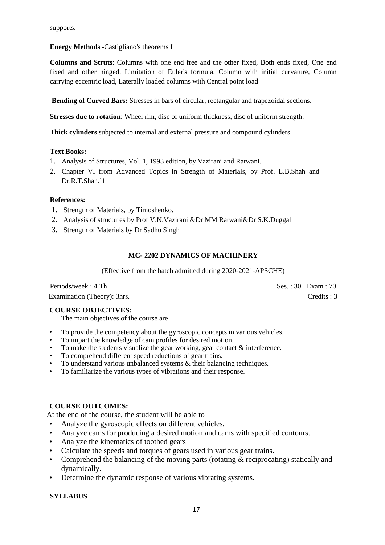# **Energy Methods -**Castigliano's theorems I

**Columns and Struts**: Columns with one end free and the other fixed, Both ends fixed, One end fixed and other hinged, Limitation of Euler's formula, Column with initial curvature, Column carrying eccentric load, Laterally loaded columns with Central point load

**Bending of Curved Bars:** Stresses in bars of circular, rectangular and trapezoidal sections.

**Stresses due to rotation**: Wheel rim, disc of uniform thickness, disc of uniform strength.

**Thick cylinders** subjected to internal and external pressure and compound cylinders.

### **Text Books:**

- 1. Analysis of Structures, Vol. 1, 1993 edition, by Vazirani and Ratwani.
- 2. Chapter VI from Advanced Topics in Strength of Materials, by Prof. L.B.Shah and Dr.R.T.Shah.`1

### **References:**

- 1. Strength of Materials, by Timoshenko.
- 2. Analysis of structures by Prof V.N.Vazirani &Dr MM Ratwani&Dr S.K.Duggal
- 3. Strength of Materials by Dr Sadhu Singh

### **MC- 2202 DYNAMICS OF MACHINERY**

(Effective from the batch admitted during 2020-2021-APSCHE)

Periods/week : 4 Th Ses. : 30 Exam : 70 Examination (Theory): 3hrs. Credits : 3

### **COURSE OBJECTIVES:**

The main objectives of the course are

- To provide the competency about the gyroscopic concepts in various vehicles.
- To impart the knowledge of cam profiles for desired motion.
- To make the students visualize the gear working, gear contact  $\&$  interference.
- To comprehend different speed reductions of gear trains.
- To understand various unbalanced systems & their balancing techniques.
- To familiarize the various types of vibrations and their response.

#### **COURSE OUTCOMES:**

At the end of the course, the student will be able to

- Analyze the gyroscopic effects on different vehicles.
- Analyze cams for producing a desired motion and cams with specified contours.
- Analyze the kinematics of toothed gears
- Calculate the speeds and torques of gears used in various gear trains.
- Comprehend the balancing of the moving parts (rotating & reciprocating) statically and dynamically.
- Determine the dynamic response of various vibrating systems.

### **SYLLABUS**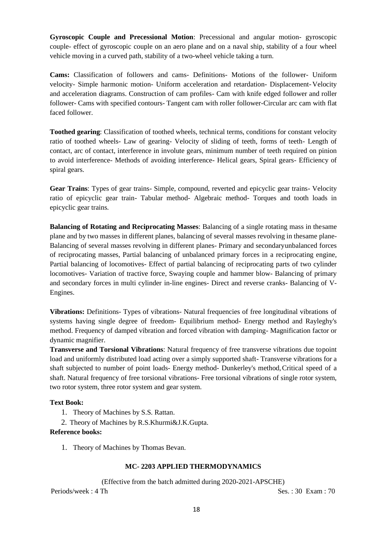**Gyroscopic Couple and Precessional Motion**: Precessional and angular motion- gyroscopic couple- effect of gyroscopic couple on an aero plane and on a naval ship, stability of a four wheel vehicle moving in a curved path, stability of a two-wheel vehicle taking a turn.

**Cams:** Classification of followers and cams- Definitions- Motions of the follower- Uniform velocity- Simple harmonic motion- Uniform acceleration and retardation- Displacement- Velocity and acceleration diagrams. Construction of cam profiles- Cam with knife edged follower and roller follower- Cams with specified contours- Tangent cam with roller follower-Circular arc cam with flat faced follower.

**Toothed gearing**: Classification of toothed wheels, technical terms, conditions for constant velocity ratio of toothed wheels- Law of gearing- Velocity of sliding of teeth, forms of teeth- Length of contact, arc of contact, interference in involute gears, minimum number of teeth required on pinion to avoid interference- Methods of avoiding interference- Helical gears, Spiral gears- Efficiency of spiral gears.

**Gear Trains**: Types of gear trains- Simple, compound, reverted and epicyclic gear trains- Velocity ratio of epicyclic gear train- Tabular method- Algebraic method- Torques and tooth loads in epicyclic gear trains.

**Balancing of Rotating and Reciprocating Masses**: Balancing of a single rotating mass in thesame plane and by two masses in different planes, balancing of several masses revolving in thesame plane-Balancing of several masses revolving in different planes- Primary and secondaryunbalanced forces of reciprocating masses, Partial balancing of unbalanced primary forces in a reciprocating engine, Partial balancing of locomotives- Effect of partial balancing of reciprocating parts of two cylinder locomotives- Variation of tractive force, Swaying couple and hammer blow- Balancing of primary and secondary forces in multi cylinder in-line engines- Direct and reverse cranks- Balancing of V-Engines.

**Vibrations:** Definitions- Types of vibrations- Natural frequencies of free longitudinal vibrations of systems having single degree of freedom- Equilibrium method- Energy method and Rayleghy's method. Frequency of damped vibration and forced vibration with damping- Magnification factor or dynamic magnifier.

**Transverse and Torsional Vibrations**: Natural frequency of free transverse vibrations due topoint load and uniformly distributed load acting over a simply supported shaft- Transverse vibrations for a shaft subjected to number of point loads- Energy method- Dunkerley's method,Critical speed of a shaft. Natural frequency of free torsional vibrations- Free torsional vibrations of single rotor system, two rotor system, three rotor system and gear system.

#### **Text Book:**

- 1. Theory of Machines by S.S. Rattan.
- 2. Theory of Machines by R.S.Khurmi&J.K.Gupta.

#### **Reference books:**

1. Theory of Machines by Thomas Bevan.

### **MC- 2203 APPLIED THERMODYNAMICS**

(Effective from the batch admitted during 2020-2021-APSCHE)

Periods/week : 4 Th Ses. : 30 Exam : 70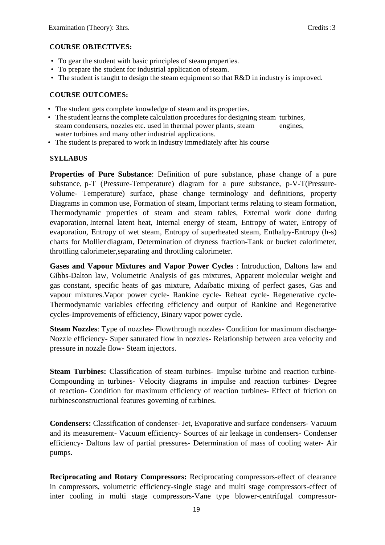### **COURSE OBJECTIVES:**

- To gear the student with basic principles of steam properties.
- To prepare the student for industrial application of steam.
- The student is taught to design the steam equipment so that R&D in industry is improved.

### **COURSE OUTCOMES:**

- The student gets complete knowledge of steam and its properties.
- The student learns the complete calculation procedures for designing steam turbines, steam condensers, nozzles etc. used in thermal power plants, steam engines, water turbines and many other industrial applications.
- The student is prepared to work in industry immediately after his course

### **SYLLABUS**

**Properties of Pure Substance**: Definition of pure substance, phase change of a pure substance, p-T (Pressure-Temperature) diagram for a pure substance, p-V-T(Pressure-Volume- Temperature) surface, phase change terminology and definitions, property Diagrams in common use, Formation of steam, Important terms relating to steam formation, Thermodynamic properties of steam and steam tables, External work done during evaporation, Internal latent heat, Internal energy of steam, Entropy of water, Entropy of evaporation, Entropy of wet steam, Entropy of superheated steam, Enthalpy-Entropy (h-s) charts for Mollier diagram, Determination of dryness fraction-Tank or bucket calorimeter, throttling calorimeter,separating and throttling calorimeter.

**Gases and Vapour Mixtures and Vapor Power Cycles** : Introduction, Daltons law and Gibbs-Dalton law, Volumetric Analysis of gas mixtures, Apparent molecular weight and gas constant, specific heats of gas mixture, Adaibatic mixing of perfect gases, Gas and vapour mixtures.Vapor power cycle- Rankine cycle- Reheat cycle- Regenerative cycle-Thermodynamic variables effecting efficiency and output of Rankine and Regenerative cycles-Improvements of efficiency, Binary vapor power cycle.

**Steam Nozzles**: Type of nozzles- Flowthrough nozzles- Condition for maximum discharge-Nozzle efficiency- Super saturated flow in nozzles- Relationship between area velocity and pressure in nozzle flow- Steam injectors.

**Steam Turbines:** Classification of steam turbines- Impulse turbine and reaction turbine-Compounding in turbines- Velocity diagrams in impulse and reaction turbines- Degree of reaction- Condition for maximum efficiency of reaction turbines- Effect of friction on turbinesconstructional features governing of turbines.

**Condensers:** Classification of condenser- Jet, Evaporative and surface condensers- Vacuum and its measurement- Vacuum efficiency- Sources of air leakage in condensers- Condenser efficiency- Daltons law of partial pressures- Determination of mass of cooling water- Air pumps.

**Reciprocating and Rotary Compressors:** Reciprocating compressors-effect of clearance in compressors, volumetric efficiency-single stage and multi stage compressors-effect of inter cooling in multi stage compressors-Vane type blower-centrifugal compressor-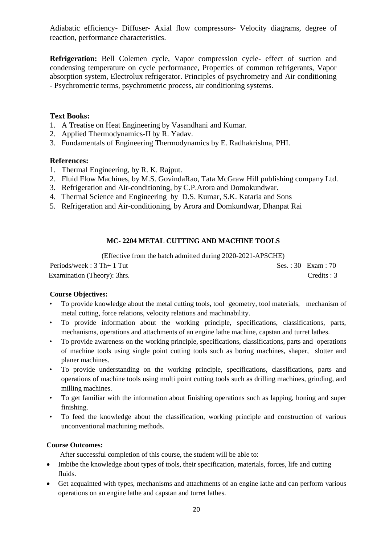Adiabatic efficiency- Diffuser- Axial flow compressors- Velocity diagrams, degree of reaction, performance characteristics.

**Refrigeration:** Bell Colemen cycle, Vapor compression cycle- effect of suction and condensing temperature on cycle performance, Properties of common refrigerants, Vapor absorption system, Electrolux refrigerator. Principles of psychrometry and Air conditioning - Psychrometric terms, psychrometric process, air conditioning systems.

### **Text Books:**

- 1. A Treatise on Heat Engineering by Vasandhani and Kumar.
- 2. Applied Thermodynamics-II by R. Yadav.
- 3. Fundamentals of Engineering Thermodynamics by E. Radhakrishna, PHI.

### **References:**

- 1. Thermal Engineering, by R. K. Rajput.
- 2. Fluid Flow Machines, by M.S. GovindaRao, Tata McGraw Hill publishing company Ltd.
- 3. Refrigeration and Air-conditioning, by C.P.Arora and Domokundwar.
- 4. Thermal Science and Engineering by D.S. Kumar, S.K. Kataria and Sons
- 5. Refrigeration and Air-conditioning, by Arora and Domkundwar, Dhanpat Rai

### **MC- 2204 METAL CUTTING AND MACHINE TOOLS**

(Effective from the batch admitted during 2020-2021-APSCHE)

| Periods/week: $3 Th+1 Tut$  | $Ses. : 30$ Exam : 70 |
|-----------------------------|-----------------------|
| Examination (Theory): 3hrs. | Credits: 3            |

### **Course Objectives:**

- To provide knowledge about the metal cutting tools, tool geometry, tool materials, mechanism of metal cutting, force relations, velocity relations and machinability.
- To provide information about the working principle, specifications, classifications, parts, mechanisms, operations and attachments of an engine lathe machine, capstan and turret lathes.
- To provide awareness on the working principle, specifications, classifications, parts and operations of machine tools using single point cutting tools such as boring machines, shaper, slotter and planer machines.
- To provide understanding on the working principle, specifications, classifications, parts and operations of machine tools using multi point cutting tools such as drilling machines, grinding, and milling machines.
- To get familiar with the information about finishing operations such as lapping, honing and super finishing.
- To feed the knowledge about the classification, working principle and construction of various unconventional machining methods.

### **Course Outcomes:**

After successful completion of this course, the student will be able to:

- Imbibe the knowledge about types of tools, their specification, materials, forces, life and cutting fluids.
- Get acquainted with types, mechanisms and attachments of an engine lathe and can perform various operations on an engine lathe and capstan and turret lathes.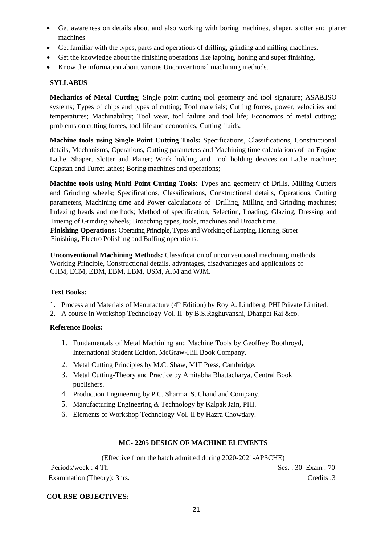- Get awareness on details about and also working with boring machines, shaper, slotter and planer machines
- Get familiar with the types, parts and operations of drilling, grinding and milling machines.
- Get the knowledge about the finishing operations like lapping, honing and super finishing.
- Know the information about various Unconventional machining methods.

# **SYLLABUS**

**Mechanics of Metal Cutting**; Single point cutting tool geometry and tool signature; ASA&ISO systems; Types of chips and types of cutting; Tool materials; Cutting forces, power, velocities and temperatures; Machinability; Tool wear, tool failure and tool life; Economics of metal cutting; problems on cutting forces, tool life and economics; Cutting fluids.

**Machine tools using Single Point Cutting Tools:** Specifications, Classifications, Constructional details, Mechanisms, Operations, Cutting parameters and Machining time calculations of an Engine Lathe, Shaper, Slotter and Planer; Work holding and Tool holding devices on Lathe machine; Capstan and Turret lathes; Boring machines and operations;

**Machine tools using Multi Point Cutting Tools:** Types and geometry of Drills, Milling Cutters and Grinding wheels; Specifications, Classifications, Constructional details, Operations, Cutting parameters, Machining time and Power calculations of Drilling, Milling and Grinding machines; Indexing heads and methods; Method of specification, Selection, Loading, Glazing, Dressing and Trueing of Grinding wheels; Broaching types, tools, machines and Broach time.  **Finishing Operations:** Operating Principle, Types and Working of Lapping, Honing, Super

Finishing, Electro Polishing and Buffing operations.

 **Unconventional Machining Methods:** Classification of unconventional machining methods, Working Principle, Constructional details, advantages, disadvantages and applications of CHM, ECM, EDM, EBM, LBM, USM, AJM and WJM.

### **Text Books:**

- 1. Process and Materials of Manufacture (4th Edition) by Roy A. Lindberg, PHI Private Limited.
- 2. A course in Workshop Technology Vol. II by B.S.Raghuvanshi, Dhanpat Rai &co.

### **Reference Books:**

- 1. Fundamentals of Metal Machining and Machine Tools by Geoffrey Boothroyd, International Student Edition, McGraw-Hill Book Company.
- 2. Metal Cutting Principles by M.C. Shaw, MIT Press, Cambridge.
- 3. Metal Cutting-Theory and Practice by Amitabha Bhattacharya, Central Book publishers.
- 4. Production Engineering by P.C. Sharma, S. Chand and Company.
- 5. Manufacturing Engineering & Technology by Kalpak Jain, PHI.
- 6. Elements of Workshop Technology Vol. II by Hazra Chowdary.

### **MC- 2205 DESIGN OF MACHINE ELEMENTS**

(Effective from the batch admitted during 2020-2021-APSCHE)

Periods/week : 4 Th Ses. : 30 Exam : 70 Examination (Theory): 3hrs. Credits :3

### **COURSE OBJECTIVES:**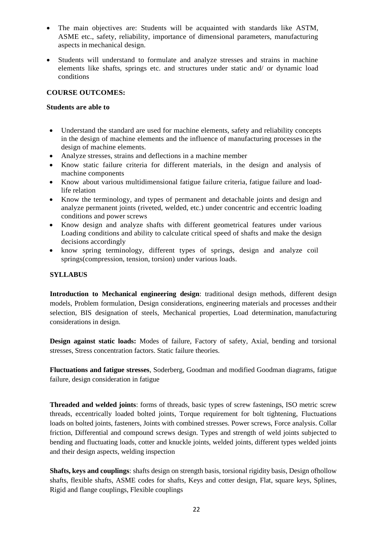- The main objectives are: Students will be acquainted with standards like ASTM, ASME etc., safety, reliability, importance of dimensional parameters, manufacturing aspects in mechanical design.
- Students will understand to formulate and analyze stresses and strains in machine elements like shafts, springs etc. and structures under static and/ or dynamic load conditions

### **COURSE OUTCOMES:**

#### **Students are able to**

- Understand the standard are used for machine elements, safety and reliability concepts in the design of machine elements and the influence of manufacturing processes in the design of machine elements.
- Analyze stresses, strains and deflections in a machine member
- Know static failure criteria for different materials, in the design and analysis of machine components
- Know about various multidimensional fatigue failure criteria, fatigue failure and loadlife relation
- Know the terminology, and types of permanent and detachable joints and design and analyze permanent joints (riveted, welded, etc.) under concentric and eccentric loading conditions and power screws
- Know design and analyze shafts with different geometrical features under various Loading conditions and ability to calculate critical speed of shafts and make the design decisions accordingly
- know spring terminology, different types of springs, design and analyze coil springs(compression, tension, torsion) under various loads.

#### **SYLLABUS**

**Introduction to Mechanical engineering design**: traditional design methods, different design models, Problem formulation, Design considerations, engineering materials and processes andtheir selection, BIS designation of steels, Mechanical properties, Load determination, manufacturing considerations in design.

**Design against static loads:** Modes of failure, Factory of safety, Axial, bending and torsional stresses, Stress concentration factors. Static failure theories.

**Fluctuations and fatigue stresses**, Soderberg, Goodman and modified Goodman diagrams, fatigue failure, design consideration in fatigue

**Threaded and welded joints**: forms of threads, basic types of screw fastenings, ISO metric screw threads, eccentrically loaded bolted joints, Torque requirement for bolt tightening, Fluctuations loads on bolted joints, fasteners, Joints with combined stresses. Power screws, Force analysis. Collar friction, Differential and compound screws design. Types and strength of weld joints subjected to bending and fluctuating loads, cotter and knuckle joints, welded joints, different types welded joints and their design aspects, welding inspection

**Shafts, keys and couplings**: shafts design on strength basis, torsional rigidity basis, Design ofhollow shafts, flexible shafts, ASME codes for shafts, Keys and cotter design, Flat, square keys, Splines, Rigid and flange couplings, Flexible couplings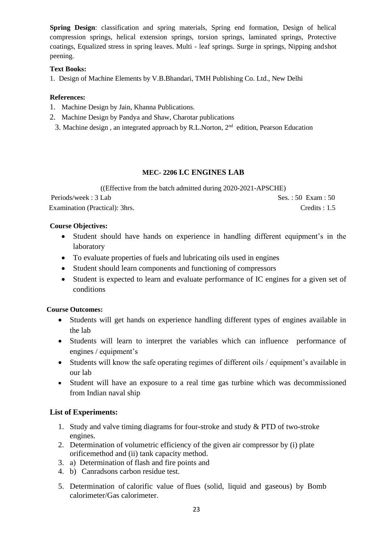**Spring Design**: classification and spring materials, Spring end formation, Design of helical compression springs, helical extension springs, torsion springs, laminated springs, Protective coatings, Equalized stress in spring leaves. Multi - leaf springs. Surge in springs, Nipping andshot peening.

## **Text Books:**

1. Design of Machine Elements by V.B.Bhandari, TMH Publishing Co. Ltd., New Delhi

# **References:**

- 1. Machine Design by Jain, Khanna Publications.
- 2. Machine Design by Pandya and Shaw, Charotar publications
- 3. Machine design, an integrated approach by R.L.Norton, 2<sup>nd</sup> edition, Pearson Education

# **MEC- 2206 I.C ENGINES LAB**

((Effective from the batch admitted during 2020-2021-APSCHE) Periods/week : 3 Lab Ses. : 50 Exam : 50

Examination (Practical): 3hrs. Credits : 1.5

### **Course Objectives:**

- Student should have hands on experience in handling different equipment's in the laboratory
- To evaluate properties of fuels and lubricating oils used in engines
- Student should learn components and functioning of compressors
- Student is expected to learn and evaluate performance of IC engines for a given set of conditions

# **Course Outcomes:**

- Students will get hands on experience handling different types of engines available in the lab
- Students will learn to interpret the variables which can influence performance of engines / equipment's
- Students will know the safe operating regimes of different oils / equipment's available in our lab
- Student will have an exposure to a real time gas turbine which was decommissioned from Indian naval ship

# **List of Experiments:**

- 1. Study and valve timing diagrams for four-stroke and study & PTD of two-stroke engines.
- 2. Determination of volumetric efficiency of the given air compressor by (i) plate orificemethod and (ii) tank capacity method.
- 3. a) Determination of flash and fire points and
- 4. b) Canradsons carbon residue test.
- 5. Determination of calorific value of flues (solid, liquid and gaseous) by Bomb calorimeter/Gas calorimeter.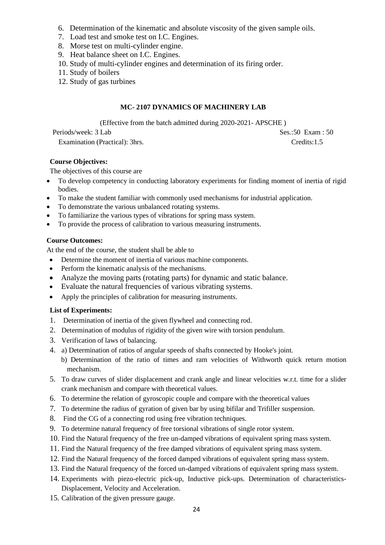- 6. Determination of the kinematic and absolute viscosity of the given sample oils.
- 7. Load test and smoke test on I.C. Engines.
- 8. Morse test on multi-cylinder engine.
- 9. Heat balance sheet on I.C. Engines.
- 10. Study of multi-cylinder engines and determination of its firing order.
- 11. Study of boilers
- 12. Study of gas turbines

# **MC- 2107 DYNAMICS OF MACHINERY LAB**

(Effective from the batch admitted during 2020-2021- APSCHE )

Periods/week: 3 Lab Ses.:50 Exam : 50

Examination (Practical): 3hrs. Credits:1.5

# **Course Objectives:**

The objectives of this course are

- To develop competency in conducting laboratory experiments for finding moment of inertia of rigid bodies.
- To make the student familiar with commonly used mechanisms for industrial application.
- To demonstrate the various unbalanced rotating systems.
- To familiarize the various types of vibrations for spring mass system.
- To provide the process of calibration to various measuring instruments.

### **Course Outcomes:**

At the end of the course, the student shall be able to

- Determine the moment of inertia of various machine components.
- Perform the kinematic analysis of the mechanisms.
- Analyze the moving parts (rotating parts) for dynamic and static balance.
- Evaluate the natural frequencies of various vibrating systems.
- Apply the principles of calibration for measuring instruments.

### **List of Experiments:**

- 1. Determination of inertia of the given flywheel and connecting rod.
- 2. Determination of modulus of rigidity of the given wire with torsion pendulum.
- 3. Verification of laws of balancing.
- 4. a) Determination of ratios of angular speeds of shafts connected by Hooke's joint.
	- b) Determination of the ratio of times and ram velocities of Withworth quick return motion mechanism.
- 5. To draw curves of slider displacement and crank angle and linear velocities w.r.t. time for a slider crank mechanism and compare with theoretical values.
- 6. To determine the relation of gyroscopic couple and compare with the theoretical values
- 7. To determine the radius of gyration of given bar by using bifilar and Trifiller suspension.
- 8. Find the CG of a connecting rod using free vibration techniques.
- 9. To determine natural frequency of free torsional vibrations of single rotor system.
- 10. Find the Natural frequency of the free un-damped vibrations of equivalent spring mass system.
- 11. Find the Natural frequency of the free damped vibrations of equivalent spring mass system.
- 12. Find the Natural frequency of the forced damped vibrations of equivalent spring mass system.
- 13. Find the Natural frequency of the forced un-damped vibrations of equivalent spring mass system.
- 14. Experiments with piezo-electric pick-up, Inductive pick-ups. Determination of characteristics-Displacement, Velocity and Acceleration.
- 15. Calibration of the given pressure gauge.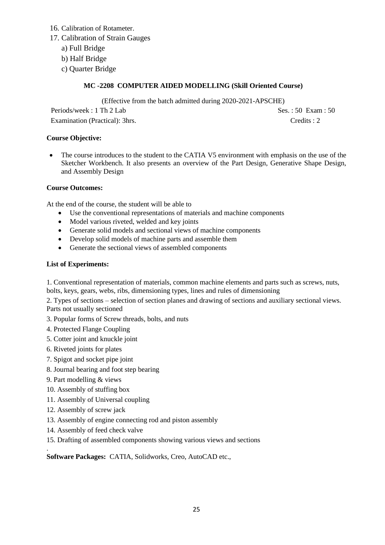- 16. Calibration of Rotameter.
- 17. Calibration of Strain Gauges
	- a) Full Bridge
	- b) Half Bridge
	- c) Quarter Bridge

# **MC -2208 COMPUTER AIDED MODELLING (Skill Oriented Course)**

(Effective from the batch admitted during 2020-2021-APSCHE)

Periods/week : 1 Th 2 Lab Ses. : 50 Exam : 50 Examination (Practical): 3hrs. Credits : 2

### **Course Objective:**

The course introduces to the student to the CATIA V5 environment with emphasis on the use of the Sketcher Workbench. It also presents an overview of the Part Design, Generative Shape Design, and Assembly Design

### **Course Outcomes:**

At the end of the course, the student will be able to

- Use the conventional representations of materials and machine components
- Model various riveted, welded and key joints
- Generate solid models and sectional views of machine components
- Develop solid models of machine parts and assemble them
- Generate the sectional views of assembled components

### **List of Experiments:**

1. Conventional representation of materials, common machine elements and parts such as screws, nuts, bolts, keys, gears, webs, ribs, dimensioning types, lines and rules of dimensioning

2. Types of sections – selection of section planes and drawing of sections and auxiliary sectional views. Parts not usually sectioned

- 3. Popular forms of Screw threads, bolts, and nuts
- 4. Protected Flange Coupling
- 5. Cotter joint and knuckle joint
- 6. Riveted joints for plates
- 7. Spigot and socket pipe joint
- 8. Journal bearing and foot step bearing
- 9. Part modelling & views
- 10. Assembly of stuffing box
- 11. Assembly of Universal coupling
- 12. Assembly of screw jack

.

- 13. Assembly of engine connecting rod and piston assembly
- 14. Assembly of feed check valve
- 15. Drafting of assembled components showing various views and sections

**Software Packages:** CATIA, Solidworks, Creo, AutoCAD etc.,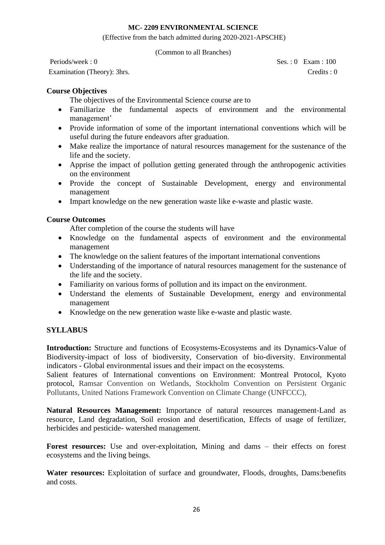### **MC- 2209 ENVIRONMENTAL SCIENCE**

(Effective from the batch admitted during 2020-2021-APSCHE)

(Common to all Branches)

Periods/week : 0 Ses. : 0 Exam : 100 Examination (Theory): 3hrs. Credits : 0

# **Course Objectives**

The objectives of the Environmental Science course are to

- Familiarize the fundamental aspects of environment and the environmental management'
- Provide information of some of the important international conventions which will be useful during the future endeavors after graduation.
- Make realize the importance of natural resources management for the sustenance of the life and the society.
- Apprise the impact of pollution getting generated through the anthropogenic activities on the environment
- Provide the concept of Sustainable Development, energy and environmental management
- Impart knowledge on the new generation waste like e-waste and plastic waste.

# **Course Outcomes**

After completion of the course the students will have

- Knowledge on the fundamental aspects of environment and the environmental management
- The knowledge on the salient features of the important international conventions
- Understanding of the importance of natural resources management for the sustenance of the life and the society.
- Familiarity on various forms of pollution and its impact on the environment.
- Understand the elements of Sustainable Development, energy and environmental management
- Knowledge on the new generation waste like e-waste and plastic waste.

# **SYLLABUS**

**Introduction:** Structure and functions of Ecosystems-Ecosystems and its Dynamics-Value of Biodiversity-impact of loss of biodiversity, Conservation of bio-diversity. Environmental indicators - Global environmental issues and their impact on the ecosystems.

Salient features of International conventions on Environment: Montreal Protocol, Kyoto protocol, Ramsar Convention on Wetlands, Stockholm Convention on Persistent Organic Pollutants, United Nations Framework Convention on Climate Change (UNFCCC),

**Natural Resources Management:** Importance of natural resources management-Land as resource, Land degradation, Soil erosion and desertification, Effects of usage of fertilizer, herbicides and pesticide- watershed management.

Forest resources: Use and over-exploitation, Mining and dams – their effects on forest ecosystems and the living beings.

**Water resources:** Exploitation of surface and groundwater, Floods, droughts, Dams:benefits and costs.